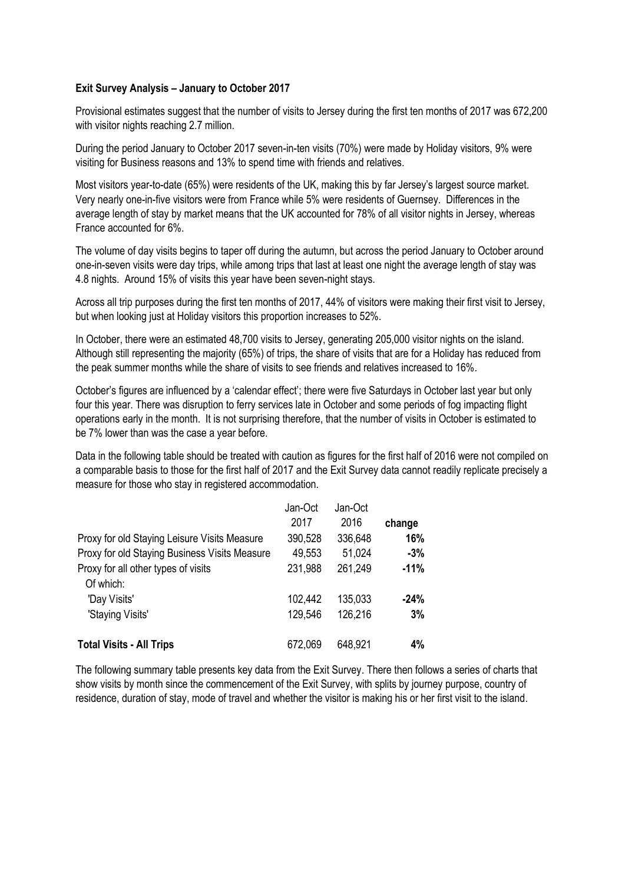## **Exit Survey Analysis – January to October 2017**

Provisional estimates suggest that the number of visits to Jersey during the first ten months of 2017 was 672,200 with visitor nights reaching 2.7 million.

During the period January to October 2017 seven-in-ten visits (70%) were made by Holiday visitors, 9% were visiting for Business reasons and 13% to spend time with friends and relatives.

Most visitors year-to-date (65%) were residents of the UK, making this by far Jersey's largest source market. Very nearly one-in-five visitors were from France while 5% were residents of Guernsey. Differences in the average length of stay by market means that the UK accounted for 78% of all visitor nights in Jersey, whereas France accounted for 6%.

The volume of day visits begins to taper off during the autumn, but across the period January to October around one-in-seven visits were day trips, while among trips that last at least one night the average length of stay was 4.8 nights. Around 15% of visits this year have been seven-night stays.

Across all trip purposes during the first ten months of 2017, 44% of visitors were making their first visit to Jersey, but when looking just at Holiday visitors this proportion increases to 52%.

In October, there were an estimated 48,700 visits to Jersey, generating 205,000 visitor nights on the island. Although still representing the majority (65%) of trips, the share of visits that are for a Holiday has reduced from the peak summer months while the share of visits to see friends and relatives increased to 16%.

October's figures are influenced by a 'calendar effect'; there were five Saturdays in October last year but only four this year. There was disruption to ferry services late in October and some periods of fog impacting flight operations early in the month. It is not surprising therefore, that the number of visits in October is estimated to be 7% lower than was the case a year before.

Data in the following table should be treated with caution as figures for the first half of 2016 were not compiled on a comparable basis to those for the first half of 2017 and the Exit Survey data cannot readily replicate precisely a measure for those who stay in registered accommodation.

|                                               | Jan-Oct | Jan-Oct |        |
|-----------------------------------------------|---------|---------|--------|
|                                               | 2017    | 2016    | change |
| Proxy for old Staying Leisure Visits Measure  | 390,528 | 336,648 | 16%    |
| Proxy for old Staying Business Visits Measure | 49,553  | 51,024  | $-3%$  |
| Proxy for all other types of visits           | 231,988 | 261,249 | $-11%$ |
| Of which:                                     |         |         |        |
| 'Day Visits'                                  | 102,442 | 135,033 | $-24%$ |
| 'Staying Visits'                              | 129,546 | 126,216 | 3%     |
|                                               |         |         |        |
| <b>Total Visits - All Trips</b>               | 672,069 | 648,921 | 4%     |

The following summary table presents key data from the Exit Survey. There then follows a series of charts that show visits by month since the commencement of the Exit Survey, with splits by journey purpose, country of residence, duration of stay, mode of travel and whether the visitor is making his or her first visit to the island.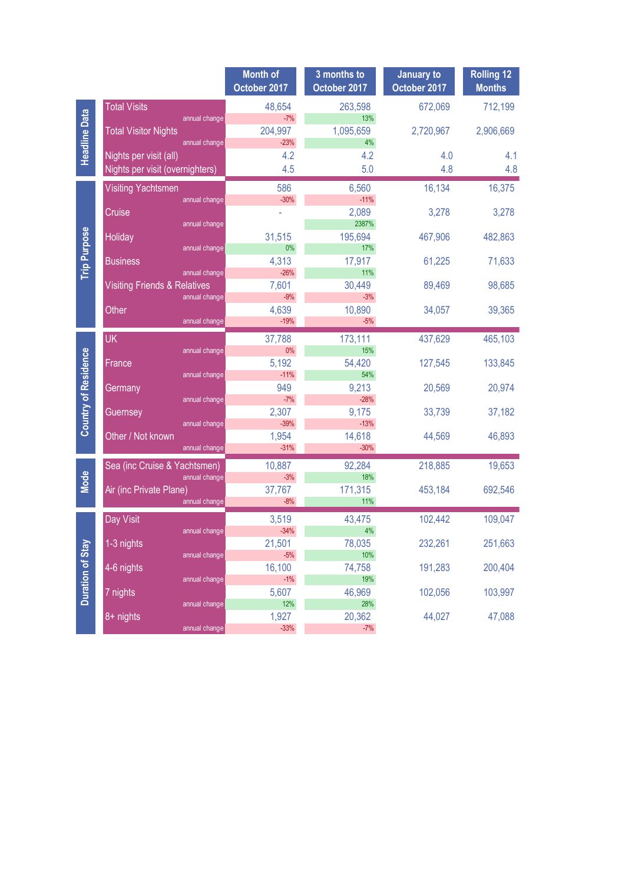|                             |                                                          | <b>Month of</b><br>October 2017 | 3 months to<br>October 2017 | <b>January to</b><br>October 2017 | <b>Rolling 12</b><br><b>Months</b> |
|-----------------------------|----------------------------------------------------------|---------------------------------|-----------------------------|-----------------------------------|------------------------------------|
| <b>Headline Data</b>        | <b>Total Visits</b>                                      | 48,654                          | 263,598                     | 672,069                           | 712,199                            |
|                             | annual change                                            | $-7%$                           | 13%                         |                                   |                                    |
|                             | <b>Total Visitor Nights</b><br>annual change             | 204,997<br>$-23%$               | 1,095,659<br>4%             | 2,720,967                         | 2,906,669                          |
|                             | Nights per visit (all)                                   | 4.2                             | 4.2                         | 4.0                               | 4.1                                |
|                             | Nights per visit (overnighters)                          | 4.5                             | 5.0                         | 4.8                               | 4.8                                |
| <b>Trip Purpose</b>         | <b>Visiting Yachtsmen</b>                                | 586                             | 6,560                       | 16,134                            | 16,375                             |
|                             | annual change                                            | $-30%$                          | $-11%$                      |                                   |                                    |
|                             | Cruise<br>annual change                                  |                                 | 2,089<br>2387%              | 3,278                             | 3,278                              |
|                             | <b>Holiday</b>                                           | 31,515                          | 195,694                     | 467,906                           | 482,863                            |
|                             | annual change                                            | 0%                              | 17%                         |                                   |                                    |
|                             | <b>Business</b>                                          | 4,313                           | 17,917                      | 61,225                            | 71,633                             |
|                             | annual change<br><b>Visiting Friends &amp; Relatives</b> | $-26%$<br>7,601                 | 11%<br>30,449               | 89,469                            | 98,685                             |
|                             | annual change                                            | $-9%$                           | $-3%$                       |                                   |                                    |
|                             | Other                                                    | 4,639                           | 10,890                      | 34,057                            | 39,365                             |
|                             | annual change                                            | $-19%$                          | $-5%$                       |                                   |                                    |
| <b>Country of Residence</b> | <b>UK</b>                                                | 37,788                          | 173,111                     | 437,629                           | 465,103                            |
|                             | annual change                                            | 0%<br>5,192                     | 15%<br>54,420               | 127,545                           | 133,845                            |
|                             | France<br>annual change                                  | $-11%$                          | 54%                         |                                   |                                    |
|                             | Germany                                                  | 949                             | 9,213                       | 20,569                            | 20,974                             |
|                             | annual change                                            | $-7%$                           | $-28%$                      |                                   |                                    |
|                             | Guernsey<br>annual change                                | 2,307<br>$-39%$                 | 9,175<br>$-13%$             | 33,739                            | 37,182                             |
|                             | Other / Not known                                        | 1,954                           | 14,618                      | 44,569                            | 46,893                             |
|                             | annual change                                            | $-31%$                          | $-30%$                      |                                   |                                    |
|                             | Sea (inc Cruise & Yachtsmen)                             | 10,887                          | 92,284                      | 218,885                           | 19,653                             |
| <b>Mode</b>                 | annual change                                            | $-3%$                           | 18%                         |                                   |                                    |
|                             | Air (inc Private Plane)<br>annual change                 | 37,767<br>$-8%$                 | 171,315<br>11%              | 453,184                           | 692,546                            |
|                             |                                                          |                                 |                             |                                   |                                    |
|                             | Day Visit<br>annual change                               | 3,519<br>$-34%$                 | 43,475<br>4%                | 102,442                           | 109,047                            |
|                             | 1-3 nights                                               | 21,501                          | 78,035                      | 232,261                           | 251,663                            |
| <b>Duration of Stay</b>     | annual change                                            | $-5%$                           | 10%                         |                                   |                                    |
|                             | 4-6 nights<br>annual change                              | 16,100<br>$-1%$                 | 74,758<br>19%               | 191,283                           | 200,404                            |
|                             | 7 nights                                                 | 5,607                           | 46,969                      | 102,056                           | 103,997                            |
|                             | annual change                                            | 12%                             | 28%                         |                                   |                                    |
|                             | 8+ nights                                                | 1,927                           | 20,362                      | 44,027                            | 47,088                             |
|                             | annual change                                            | $-33%$                          | $-7%$                       |                                   |                                    |